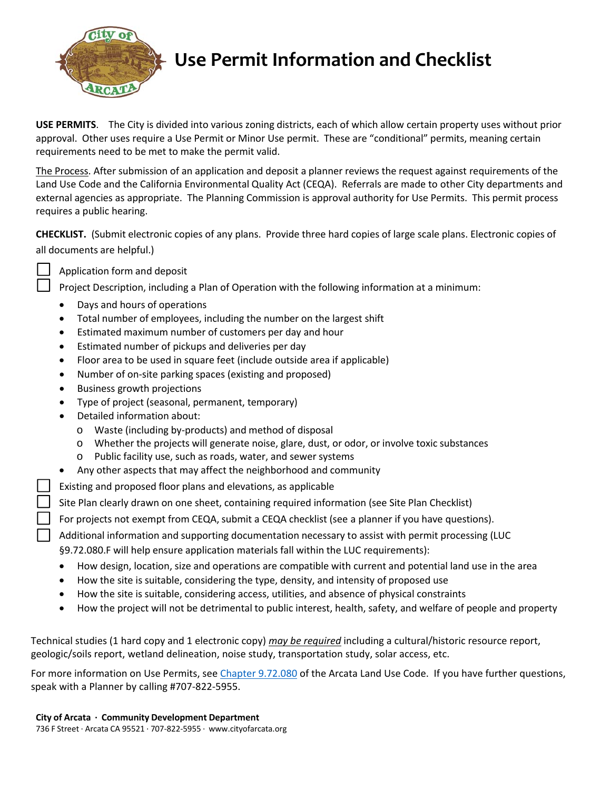

## **Use Permit Information and Checklist**

**USE PERMITS**. The City is divided into various zoning districts, each of which allow certain property uses without prior approval. Other uses require a Use Permit or Minor Use permit. These are "conditional" permits, meaning certain requirements need to be met to make the permit valid.

The Process. After submission of an application and deposit a planner reviews the request against requirements of the Land Use Code and the California Environmental Quality Act (CEQA). Referrals are made to other City departments and external agencies as appropriate. The Planning Commission is approval authority for Use Permits. This permit process requires a public hearing.

**CHECKLIST.** (Submit electronic copies of any plans. Provide three hard copies of large scale plans. Electronic copies of all documents are helpful.)

Application form and deposit

Project Description, including a Plan of Operation with the following information at a minimum:

- Days and hours of operations
- Total number of employees, including the number on the largest shift
- Estimated maximum number of customers per day and hour
- Estimated number of pickups and deliveries per day
- Floor area to be used in square feet (include outside area if applicable)
- Number of on-site parking spaces (existing and proposed)
- Business growth projections
- Type of project (seasonal, permanent, temporary)
- Detailed information about:
	- o Waste (including by‐products) and method of disposal
	- o Whether the projects will generate noise, glare, dust, or odor, or involve toxic substances
	- o Public facility use, such as roads, water, and sewer systems
- Any other aspects that may affect the neighborhood and community
- Existing and proposed floor plans and elevations, as applicable
- Site Plan clearly drawn on one sheet, containing required information (see Site Plan Checklist)
- For projects not exempt from CEQA, submit a CEQA checklist (see a planner if you have questions).
- Additional information and supporting documentation necessary to assist with permit processing (LUC §9.72.080.F will help ensure application materials fall within the LUC requirements):
- How design, location, size and operations are compatible with current and potential land use in the area
- How the site is suitable, considering the type, density, and intensity of proposed use
- How the site is suitable, considering access, utilities, and absence of physical constraints
- How the project will not be detrimental to public interest, health, safety, and welfare of people and property

Technical studies (1 hard copy and 1 electronic copy) *may be required* including a cultural/historic resource report, geologic/soils report, wetland delineation, noise study, transportation study, solar access, etc.

For more information on Use Permits, see Chapter 9.72.080 of the Arcata Land Use Code. If you have further questions, speak with a Planner by calling #707‐822‐5955.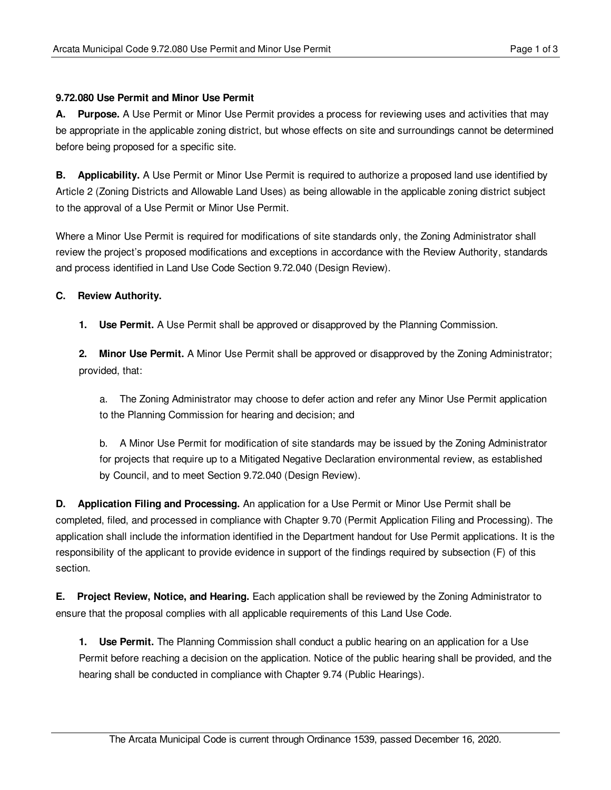## **9.72.080 Use Permit and Minor Use Permit**

**A. Purpose.** A Use Permit or Minor Use Permit provides a process for reviewing uses and activities that may be appropriate in the applicable zoning district, but whose effects on site and surroundings cannot be determined before being proposed for a specific site.

**B. Applicability.** A Use Permit or Minor Use Permit is required to authorize a proposed land use identified by Article 2 (Zoning Districts and Allowable Land Uses) as being allowable in the applicable zoning district subject to the approval of a Use Permit or Minor Use Permit.

Where a Minor Use Permit is required for modifications of site standards only, the Zoning Administrator shall review the project's proposed modifications and exceptions in accordance with the Review Authority, standards and process identified in Land Use Code Section 9.72.040 (Design Review).

## **C. Review Authority.**

**1. Use Permit.** A Use Permit shall be approved or disapproved by the Planning Commission.

**2. Minor Use Permit.** A Minor Use Permit shall be approved or disapproved by the Zoning Administrator; provided, that:

a. The Zoning Administrator may choose to defer action and refer any Minor Use Permit application to the Planning Commission for hearing and decision; and

b. A Minor Use Permit for modification of site standards may be issued by the Zoning Administrator for projects that require up to a Mitigated Negative Declaration environmental review, as established by Council, and to meet Section 9.72.040 (Design Review).

**D. Application Filing and Processing.** An application for a Use Permit or Minor Use Permit shall be completed, filed, and processed in compliance with Chapter 9.70 (Permit Application Filing and Processing). The application shall include the information identified in the Department handout for Use Permit applications. It is the responsibility of the applicant to provide evidence in support of the findings required by subsection (F) of this section.

**E. Project Review, Notice, and Hearing.** Each application shall be reviewed by the Zoning Administrator to ensure that the proposal complies with all applicable requirements of this Land Use Code.

**1. Use Permit.** The Planning Commission shall conduct a public hearing on an application for a Use Permit before reaching a decision on the application. Notice of the public hearing shall be provided, and the hearing shall be conducted in compliance with Chapter 9.74 (Public Hearings).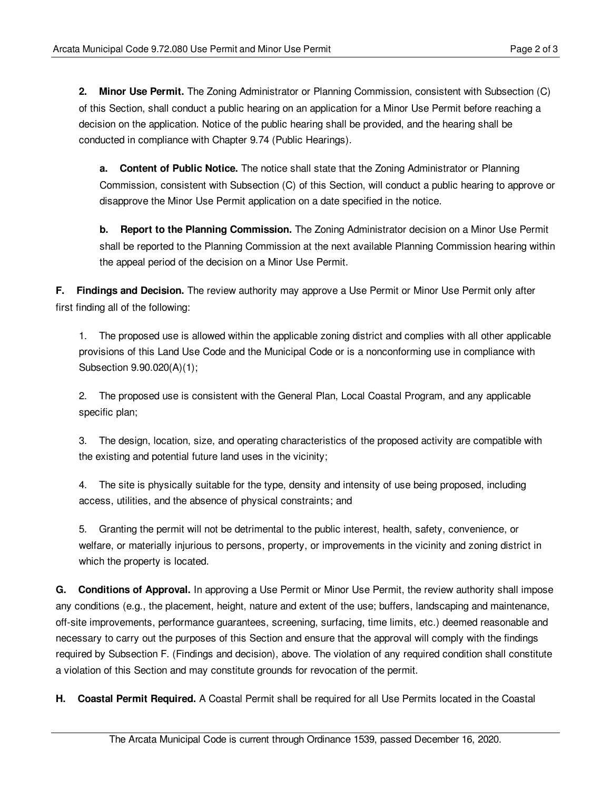**2. Minor Use Permit.** The Zoning Administrator or Planning Commission, consistent with Subsection (C) of this Section, shall conduct a public hearing on an application for a Minor Use Permit before reaching a decision on the application. Notice of the public hearing shall be provided, and the hearing shall be conducted in compliance with Chapter 9.74 (Public Hearings).

**a. Content of Public Notice.** The notice shall state that the Zoning Administrator or Planning Commission, consistent with Subsection (C) of this Section, will conduct a public hearing to approve or disapprove the Minor Use Permit application on a date specified in the notice.

**b. Report to the Planning Commission.** The Zoning Administrator decision on a Minor Use Permit shall be reported to the Planning Commission at the next available Planning Commission hearing within the appeal period of the decision on a Minor Use Permit.

**F. Findings and Decision.** The review authority may approve a Use Permit or Minor Use Permit only after first finding all of the following:

1. The proposed use is allowed within the applicable zoning district and complies with all other applicable provisions of this Land Use Code and the Municipal Code or is a nonconforming use in compliance with Subsection 9.90.020(A)(1);

2. The proposed use is consistent with the General Plan, Local Coastal Program, and any applicable specific plan;

3. The design, location, size, and operating characteristics of the proposed activity are compatible with the existing and potential future land uses in the vicinity;

4. The site is physically suitable for the type, density and intensity of use being proposed, including access, utilities, and the absence of physical constraints; and

5. Granting the permit will not be detrimental to the public interest, health, safety, convenience, or welfare, or materially injurious to persons, property, or improvements in the vicinity and zoning district in which the property is located.

**G. Conditions of Approval.** In approving a Use Permit or Minor Use Permit, the review authority shall impose any conditions (e.g., the placement, height, nature and extent of the use; buffers, landscaping and maintenance, off-site improvements, performance guarantees, screening, surfacing, time limits, etc.) deemed reasonable and necessary to carry out the purposes of this Section and ensure that the approval will comply with the findings required by Subsection F. (Findings and decision), above. The violation of any required condition shall constitute a violation of this Section and may constitute grounds for revocation of the permit.

**H. Coastal Permit Required.** A Coastal Permit shall be required for all Use Permits located in the Coastal